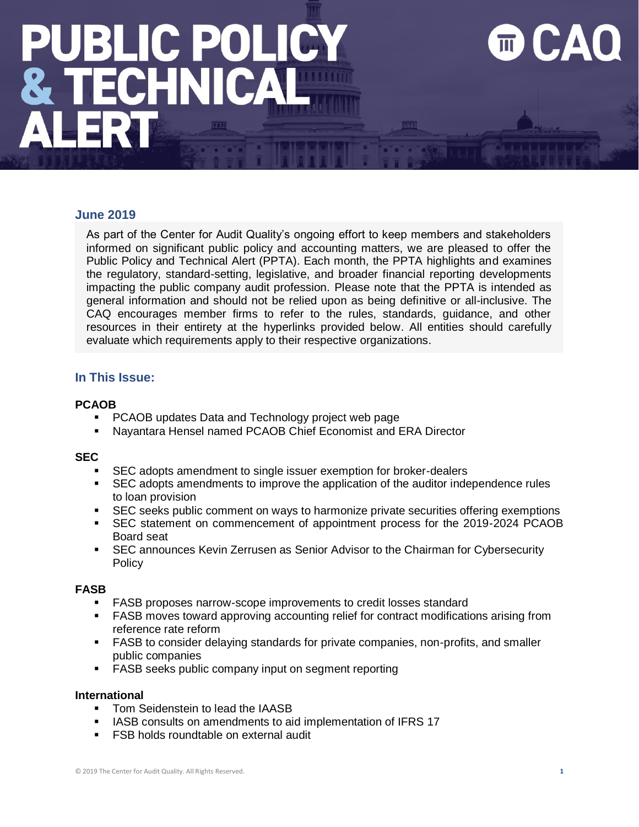### **June 2019**

As part of the Center for Audit Quality's ongoing effort to keep members and stakeholders informed on significant public policy and accounting matters, we are pleased to offer the Public Policy and Technical Alert (PPTA). Each month, the PPTA highlights and examines the regulatory, standard-setting, legislative, and broader financial reporting developments impacting the public company audit profession. Please note that the PPTA is intended as general information and should not be relied upon as being definitive or all-inclusive. The CAQ encourages member firms to refer to the rules, standards, guidance, and other resources in their entirety at the hyperlinks provided below. All entities should carefully evaluate which requirements apply to their respective organizations.

### **In This Issue:**

### **PCAOB**

- PCAOB updates Data and Technology project web page
- Nayantara Hensel named PCAOB Chief Economist and ERA Director

### **SEC**

- SEC adopts amendment to single issuer exemption for broker-dealers
- **•** SEC adopts amendments to improve the application of the auditor independence rules to loan provision
- SEC seeks public comment on ways to harmonize private securities offering exemptions
- SEC statement on commencement of appointment process for the 2019-2024 PCAOB Board seat
- **EXEC announces Kevin Zerrusen as Senior Advisor to the Chairman for Cybersecurity** Policy

### **FASB**

- FASB proposes narrow-scope improvements to credit losses standard
- **FASB moves toward approving accounting relief for contract modifications arising from** reference rate reform
- **FASB to consider delaying standards for private companies, non-profits, and smaller** public companies
- FASB seeks public company input on segment reporting

### **International**

- **Tom Seidenstein to lead the IAASB**
- IASB consults on amendments to aid implementation of IFRS 17
- **FSB holds roundtable on external audit**

DД.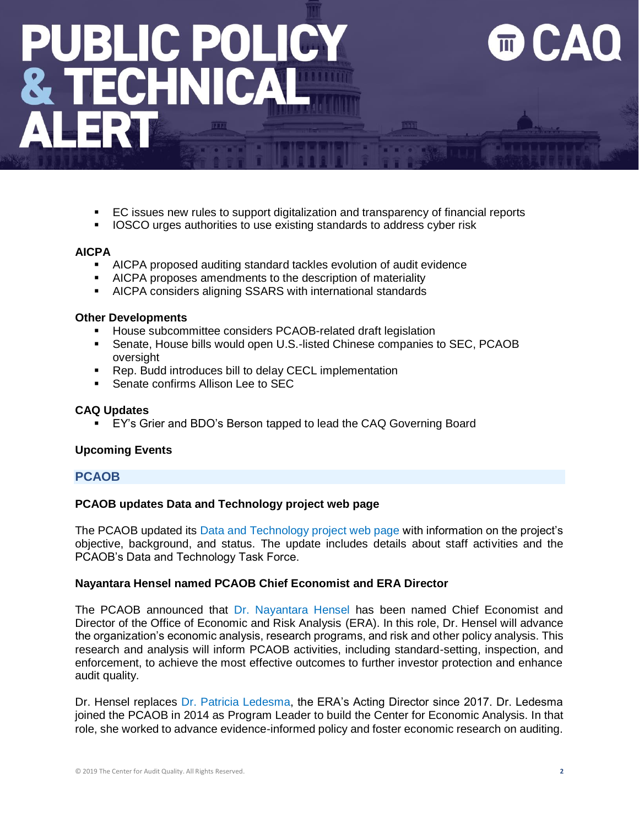- EC issues new rules to support digitalization and transparency of financial reports
- IOSCO urges authorities to use existing standards to address cyber risk

### **AICPA**

- AICPA proposed auditing standard tackles evolution of audit evidence
- AICPA proposes amendments to the description of materiality
- AICPA considers aligning SSARS with international standards

### **Other Developments**

- House subcommittee considers PCAOB-related draft legislation
- **•** Senate, House bills would open U.S.-listed Chinese companies to SEC, PCAOB oversight
- Rep. Budd introduces bill to delay CECL implementation
- Senate confirms Allison Lee to SEC

### **CAQ Updates**

EY's Grier and BDO's Berson tapped to lead the CAQ Governing Board

### **Upcoming Events**

### **PCAOB**

### **PCAOB updates Data and Technology project web page**

The PCAOB updated its [Data and Technology project web page](https://pcaobus.org/Standards/research-standard-setting-projects/Pages/data-technology.aspx) with information on the project's objective, background, and status. The update includes details about staff activities and the PCAOB's Data and Technology Task Force.

### **Nayantara Hensel named PCAOB Chief Economist and ERA Director**

The PCAOB announced that [Dr. Nayantara Hensel](https://pcaobus.org/News/Releases/Pages/Nayantara-Hensel-named-PCAOB-Chief-Economist-Director-Economic-and-Risk-Analysis.aspx) has been named Chief Economist and Director of the Office of Economic and Risk Analysis (ERA). In this role, Dr. Hensel will advance the organization's economic analysis, research programs, and risk and other policy analysis. This research and analysis will inform PCAOB activities, including standard-setting, inspection, and enforcement, to achieve the most effective outcomes to further investor protection and enhance audit quality.

Dr. Hensel replaces [Dr. Patricia Ledesma,](https://pcaobus.org/News/Releases/Pages/acting-director-office-economic-risk-analysis-patricia-ledesma-leave-PCAOB.aspx) the ERA's Acting Director since 2017. Dr. Ledesma joined the PCAOB in 2014 as Program Leader to build the Center for Economic Analysis. In that role, she worked to advance evidence-informed policy and foster economic research on auditing.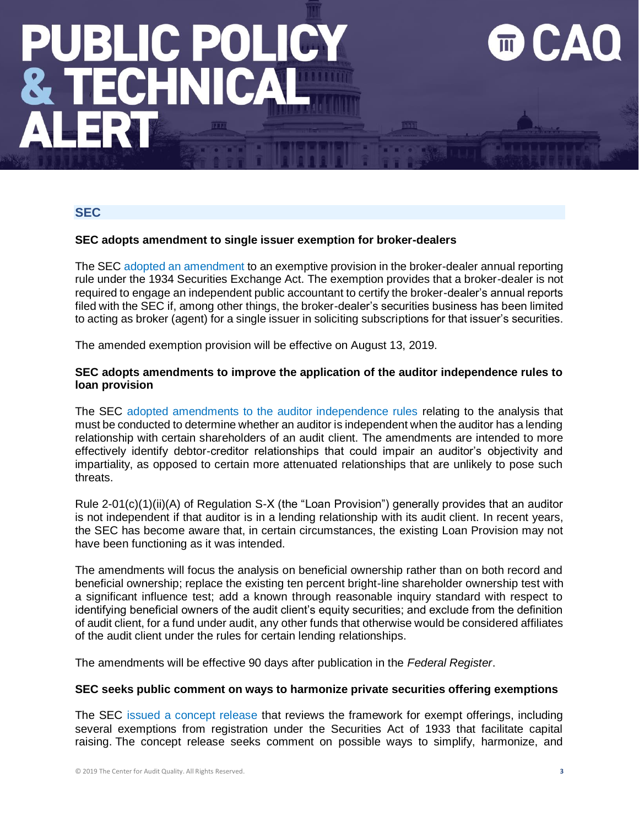### **SEC**

### **SEC adopts amendment to single issuer exemption for broker-dealers**

The SEC [adopted an amendment](https://www.sec.gov/rules/final/2019/34-86073.pdf) to an exemptive provision in the broker-dealer annual reporting rule under the 1934 Securities Exchange Act. The exemption provides that a broker-dealer is not required to engage an independent public accountant to certify the broker-dealer's annual reports filed with the SEC if, among other things, the broker-dealer's securities business has been limited to acting as broker (agent) for a single issuer in soliciting subscriptions for that issuer's securities.

The amended exemption provision will be effective on August 13, 2019.

### **SEC adopts amendments to improve the application of the auditor independence rules to loan provision**

The SEC [adopted amendments to the auditor independence rules](https://www.sec.gov/news/press-release/2019-98) relating to the analysis that must be conducted to determine whether an auditor is independent when the auditor has a lending relationship with certain shareholders of an audit client. The amendments are intended to more effectively identify debtor-creditor relationships that could impair an auditor's objectivity and impartiality, as opposed to certain more attenuated relationships that are unlikely to pose such threats.

Rule 2-01(c)(1)(ii)(A) of Regulation S-X (the "Loan Provision") generally provides that an auditor is not independent if that auditor is in a lending relationship with its audit client. In recent years, the SEC has become aware that, in certain circumstances, the existing Loan Provision may not have been functioning as it was intended.

The amendments will focus the analysis on beneficial ownership rather than on both record and beneficial ownership; replace the existing ten percent bright-line shareholder ownership test with a significant influence test; add a known through reasonable inquiry standard with respect to identifying beneficial owners of the audit client's equity securities; and exclude from the definition of audit client, for a fund under audit, any other funds that otherwise would be considered affiliates of the audit client under the rules for certain lending relationships.

The amendments will be effective 90 days after publication in the *Federal Register*.

### **SEC seeks public comment on ways to harmonize private securities offering exemptions**

The SEC [issued a concept release](https://www.sec.gov/news/press-release/2019-97) that reviews the framework for exempt offerings, including several exemptions from registration under the Securities Act of 1933 that facilitate capital raising. The concept release seeks comment on possible ways to simplify, harmonize, and

EД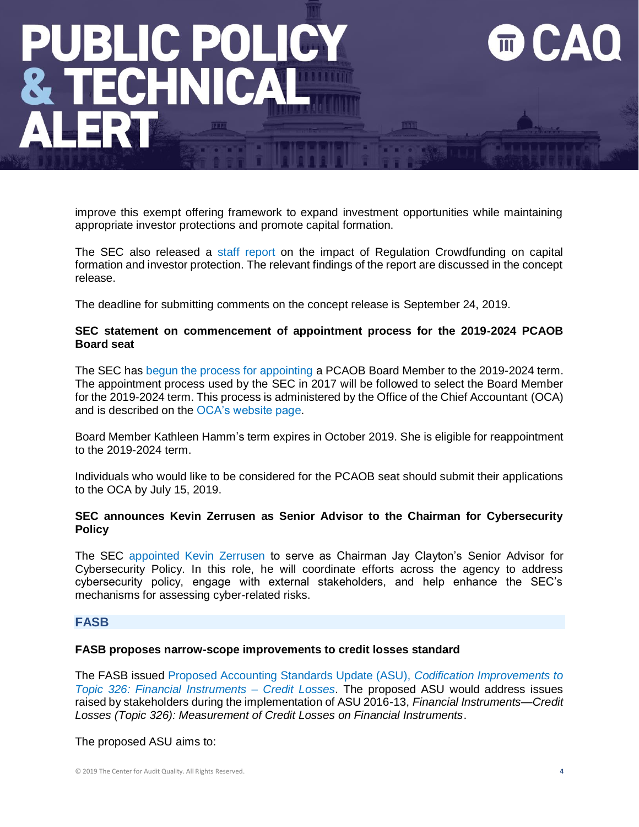improve this exempt offering framework to expand investment opportunities while maintaining appropriate investor protections and promote capital formation.

The SEC also released a [staff report](https://www.sec.gov/files/regulation-crowdfunding-2019_0.pdf) on the impact of Regulation Crowdfunding on capital formation and investor protection. The relevant findings of the report are discussed in the concept release.

The deadline for submitting comments on the concept release is September 24, 2019.

### **SEC statement on commencement of appointment process for the 2019-2024 PCAOB Board seat**

The SEC has [begun the process for appointing](https://www.sec.gov/news/public-statement/statement-teotia-062419) a PCAOB Board Member to the 2019-2024 term. The appointment process used by the SEC in 2017 will be followed to select the Board Member for the 2019-2024 term. This process is administered by the Office of the Chief Accountant (OCA) and is described on the [OCA's website page.](https://www.sec.gov/financial-reporting-structure)

Board Member Kathleen Hamm's term expires in October 2019. She is eligible for reappointment to the 2019-2024 term.

Individuals who would like to be considered for the PCAOB seat should submit their applications to the OCA by July 15, 2019.

### **SEC announces Kevin Zerrusen as Senior Advisor to the Chairman for Cybersecurity Policy**

The SEC [appointed Kevin Zerrusen](https://www.sec.gov/news/press-release/2019-82) to serve as Chairman Jay Clayton's Senior Advisor for Cybersecurity Policy. In this role, he will coordinate efforts across the agency to address cybersecurity policy, engage with external stakeholders, and help enhance the SEC's mechanisms for assessing cyber-related risks.

### **FASB**

### **FASB proposes narrow-scope improvements to credit losses standard**

The FASB issued [Proposed Accounting Standards Update \(ASU\),](https://www.fasb.org/jsp/FASB/Document_C/DocumentPage?cid=1176172900138&acceptedDisclaimer=true) *Codification Improvements to [Topic 326: Financial Instruments –](https://www.fasb.org/jsp/FASB/Document_C/DocumentPage?cid=1176172900138&acceptedDisclaimer=true) Credit Losses*. The proposed ASU would address issues raised by stakeholders during the implementation of ASU 2016-13, *Financial Instruments—Credit Losses (Topic 326): Measurement of Credit Losses on Financial Instruments*.

The proposed ASU aims to: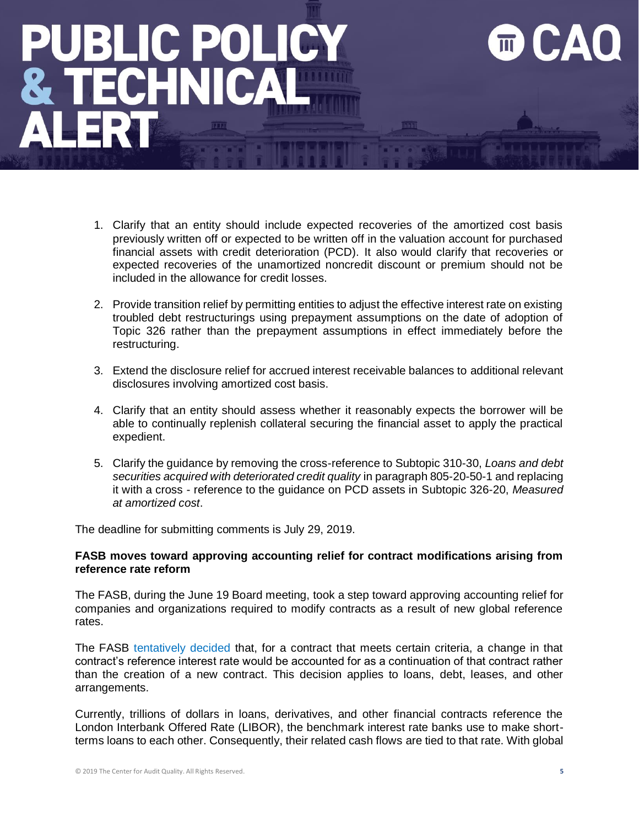- 1. Clarify that an entity should include expected recoveries of the amortized cost basis previously written off or expected to be written off in the valuation account for purchased financial assets with credit deterioration (PCD). It also would clarify that recoveries or expected recoveries of the unamortized noncredit discount or premium should not be included in the allowance for credit losses.
- 2. Provide transition relief by permitting entities to adjust the effective interest rate on existing troubled debt restructurings using prepayment assumptions on the date of adoption of Topic 326 rather than the prepayment assumptions in effect immediately before the restructuring.
- 3. Extend the disclosure relief for accrued interest receivable balances to additional relevant disclosures involving amortized cost basis.
- 4. Clarify that an entity should assess whether it reasonably expects the borrower will be able to continually replenish collateral securing the financial asset to apply the practical expedient.
- 5. Clarify the guidance by removing the cross-reference to Subtopic 310-30, *Loans and debt securities acquired with deteriorated credit quality* in paragraph 805-20-50-1 and replacing it with a cross - reference to the guidance on PCD assets in Subtopic 326-20, *Measured at amortized cost*.

The deadline for submitting comments is July 29, 2019.

### **FASB moves toward approving accounting relief for contract modifications arising from reference rate reform**

The FASB, during the June 19 Board meeting, took a step toward approving accounting relief for companies and organizations required to modify contracts as a result of new global reference rates.

The FASB [tentatively decided](https://www.fasb.org/cs/ContentServer?c=FASBContent_C&cid=1176172859120&d=&pagename=FASB%2FFASBContent_C%2FNewsPage) that, for a contract that meets certain criteria, a change in that contract's reference interest rate would be accounted for as a continuation of that contract rather than the creation of a new contract. This decision applies to loans, debt, leases, and other arrangements.

Currently, trillions of dollars in loans, derivatives, and other financial contracts reference the London Interbank Offered Rate (LIBOR), the benchmark interest rate banks use to make shortterms loans to each other. Consequently, their related cash flows are tied to that rate. With global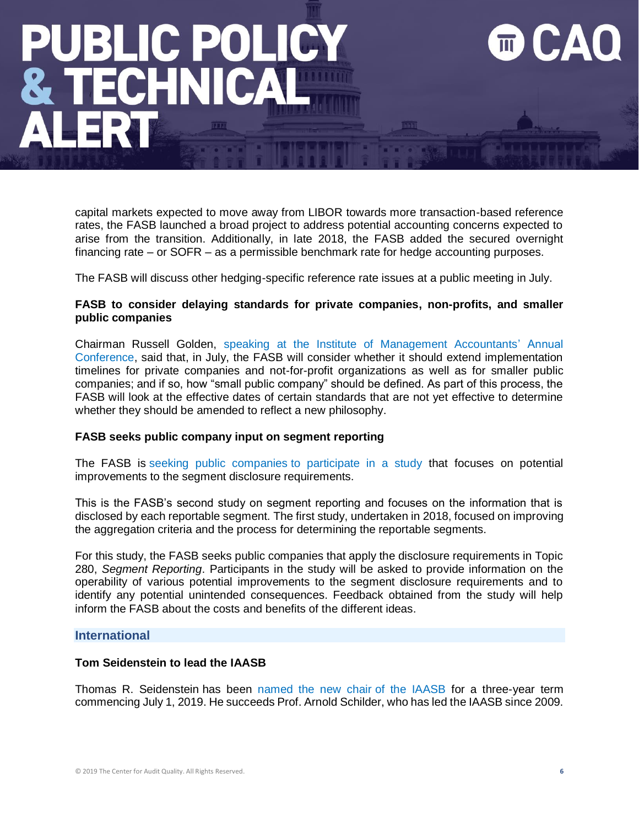capital markets expected to move away from LIBOR towards more transaction-based reference rates, the FASB launched a broad project to address potential accounting concerns expected to arise from the transition. Additionally, in late 2018, the FASB added the secured overnight financing rate – or SOFR – as a permissible benchmark rate for hedge accounting purposes.

The FASB will discuss other hedging-specific reference rate issues at a public meeting in July.

### **FASB to consider delaying standards for private companies, non-profits, and smaller public companies**

Chairman Russell Golden, [speaking at the Institute of Management Accountants' Annual](https://www.fasb.org/cs/Satellite?c=FASBContent_C&cid=1176172848702&pagename=FASB%2FFASBContent_C%2FGeneralContentDisplay)  [Conference,](https://www.fasb.org/cs/Satellite?c=FASBContent_C&cid=1176172848702&pagename=FASB%2FFASBContent_C%2FGeneralContentDisplay) said that, in July, the FASB will consider whether it should extend implementation timelines for private companies and not-for-profit organizations as well as for smaller public companies; and if so, how "small public company" should be defined. As part of this process, the FASB will look at the effective dates of certain standards that are not yet effective to determine whether they should be amended to reflect a new philosophy.

### **FASB seeks public company input on segment reporting**

The FASB is [seeking public companies](https://www.fasb.org/cs/ContentServer?c=FASBContent_C&cid=1176172884855&d=&pagename=FASB%2FFASBContent_C%2FNewsPage) to participate in a study that focuses on potential improvements to the segment disclosure requirements.

This is the FASB's second study on segment reporting and focuses on the information that is disclosed by each reportable segment. The first study, undertaken in 2018, focused on improving the aggregation criteria and the process for determining the reportable segments.

For this study, the FASB seeks public companies that apply the disclosure requirements in Topic 280, *Segment Reporting*. Participants in the study will be asked to provide information on the operability of various potential improvements to the segment disclosure requirements and to identify any potential unintended consequences. Feedback obtained from the study will help inform the FASB about the costs and benefits of the different ideas.

### **International**

### **Tom Seidenstein to lead the IAASB**

Thomas R. Seidenstein has been [named the new chair](http://www.ifac.org/news-events/2019-06/tom-seidenstein-lead-international-auditing-and-assurance-standards-board) of the IAASB for a three-year term commencing July 1, 2019. He succeeds Prof. Arnold Schilder, who has led the IAASB since 2009.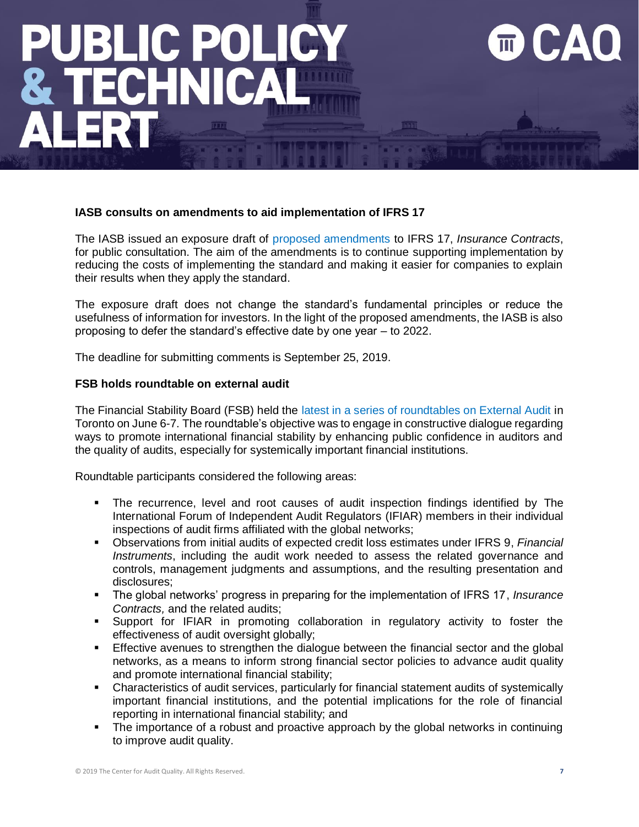### **IASB consults on amendments to aid implementation of IFRS 17**

The IASB issued an exposure draft of [proposed amendments](https://www.ifrs.org/news-and-events/2019/06/iasb-consults-on-amendments-to-aid-implementation-of-ifrs-17/) to IFRS 17, *Insurance Contracts*, for public consultation. The aim of the amendments is to continue supporting implementation by reducing the costs of implementing the standard and making it easier for companies to explain their results when they apply the standard.

The exposure draft does not change the standard's fundamental principles or reduce the usefulness of information for investors. In the light of the proposed amendments, the IASB is also proposing to defer the standard's effective date by one year – to 2022.

The deadline for submitting comments is September 25, 2019.

### **FSB holds roundtable on external audit**

The Financial Stability Board (FSB) held the [latest in a series of roundtables on External Audit](https://www.fsb.org/2019/06/2019-fsb-roundtable-on-external-audit/) in Toronto on June 6-7. The roundtable's objective was to engage in constructive dialogue regarding ways to promote international financial stability by enhancing public confidence in auditors and the quality of audits, especially for systemically important financial institutions.

Roundtable participants considered the following areas:

- The recurrence, level and root causes of audit inspection findings identified by The International Forum of Independent Audit Regulators (IFIAR) members in their individual inspections of audit firms affiliated with the global networks;
- Observations from initial audits of expected credit loss estimates under IFRS 9, *Financial Instruments*, including the audit work needed to assess the related governance and controls, management judgments and assumptions, and the resulting presentation and disclosures;
- The global networks' progress in preparing for the implementation of IFRS 17, *Insurance Contracts,* and the related audits;
- Support for IFIAR in promoting collaboration in regulatory activity to foster the effectiveness of audit oversight globally;
- **Effective avenues to strengthen the dialogue between the financial sector and the global** networks, as a means to inform strong financial sector policies to advance audit quality and promote international financial stability;
- Characteristics of audit services, particularly for financial statement audits of systemically important financial institutions, and the potential implications for the role of financial reporting in international financial stability; and
- The importance of a robust and proactive approach by the global networks in continuing to improve audit quality.

EД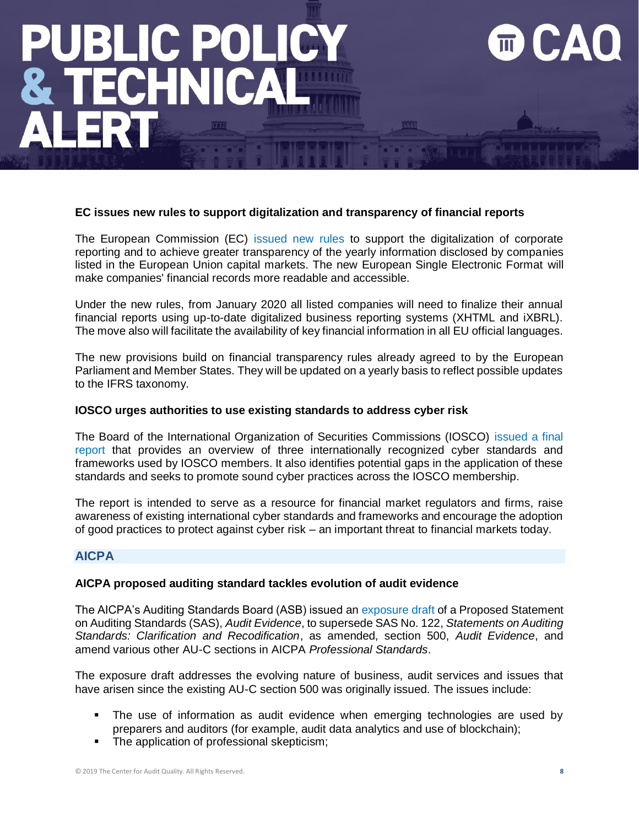### **EC issues new rules to support digitalization and transparency of financial reports**

The European Commission (EC) [issued new rules](http://europa.eu/rapid/midday-express-29-5-2019.htm?locale=en#10) to support the digitalization of corporate reporting and to achieve greater transparency of the yearly information disclosed by companies listed in the European Union capital markets. The new European Single Electronic Format will make companies' financial records more readable and accessible.

Under the new rules, from January 2020 all listed companies will need to finalize their annual financial reports using up-to-date digitalized business reporting systems (XHTML and iXBRL). The move also will facilitate the availability of key financial information in all EU official languages.

The new provisions build on financial transparency rules already agreed to by the European Parliament and Member States. They will be updated on a yearly basis to reflect possible updates to the IFRS taxonomy.

### **IOSCO urges authorities to use existing standards to address cyber risk**

The Board of the International Organization of Securities Commissions (IOSCO) [issued a final](https://www.iosco.org/news/pdf/IOSCONEWS536.pdf)  [report](https://www.iosco.org/news/pdf/IOSCONEWS536.pdf) that provides an overview of three internationally recognized cyber standards and frameworks used by IOSCO members. It also identifies potential gaps in the application of these standards and seeks to promote sound cyber practices across the IOSCO membership.

The report is intended to serve as a resource for financial market regulators and firms, raise awareness of existing international cyber standards and frameworks and encourage the adoption of good practices to protect against cyber risk – an important threat to financial markets today.

### **AICPA**

### **AICPA proposed auditing standard tackles evolution of audit evidence**

The AICPA's Auditing Standards Board (ASB) issued an [exposure draft](https://www.aicpa.org/press/pressreleases/2019/aicpa-proposed-auditing-standard-tackles-evolution-of-audit-evidence-in-todays-business-environment.html) of a Proposed Statement on Auditing Standards (SAS), *Audit Evidence*, to supersede SAS No. 122, *Statements on Auditing Standards: Clarification and Recodification*, as amended, section 500, *Audit Evidence*, and amend various other AU-C sections in AICPA *Professional Standards*.

The exposure draft addresses the evolving nature of business, audit services and issues that have arisen since the existing AU-C section 500 was originally issued. The issues include:

- The use of information as audit evidence when emerging technologies are used by preparers and auditors (for example, audit data analytics and use of blockchain);
- The application of professional skepticism;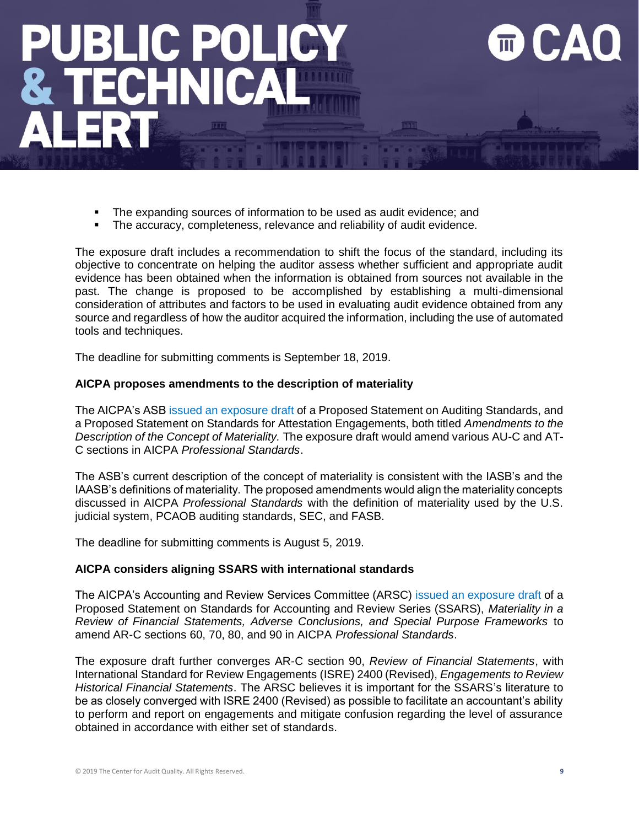- The expanding sources of information to be used as audit evidence; and
- The accuracy, completeness, relevance and reliability of audit evidence.

The exposure draft includes a recommendation to shift the focus of the standard, including its objective to concentrate on helping the auditor assess whether sufficient and appropriate audit evidence has been obtained when the information is obtained from sources not available in the past. The change is proposed to be accomplished by establishing a multi-dimensional consideration of attributes and factors to be used in evaluating audit evidence obtained from any source and regardless of how the auditor acquired the information, including the use of automated tools and techniques.

The deadline for submitting comments is September 18, 2019.

### **AICPA proposes amendments to the description of materiality**

The AICPA's ASB [issued an exposure draft](https://www.aicpa.org/press/pressreleases/2019/asb-proposes-amendments-to-description-of-materiality.html) of a Proposed Statement on Auditing Standards, and a Proposed Statement on Standards for Attestation Engagements, both titled *Amendments to the Description of the Concept of Materiality.* The exposure draft would amend various AU-C and AT-C sections in AICPA *Professional Standards*.

The ASB's current description of the concept of materiality is consistent with the IASB's and the IAASB's definitions of materiality. The proposed amendments would align the materiality concepts discussed in AICPA *Professional Standards* with the definition of materiality used by the U.S. judicial system, PCAOB auditing standards, SEC, and FASB.

The deadline for submitting comments is August 5, 2019.

### **AICPA considers aligning SSARS with international standards**

The AICPA's Accounting and Review Services Committee (ARSC) [issued an exposure draft](https://www.aicpa.org/press/pressreleases/2019/aicpas-arsc-considers-aligning-us-statements-on-standards-for-accounting-and-review-services-with-international-standards.html) of a Proposed Statement on Standards for Accounting and Review Series (SSARS), *Materiality in a Review of Financial Statements, Adverse Conclusions, and Special Purpose Frameworks* to amend AR-C sections 60, 70, 80, and 90 in AICPA *Professional Standards*.

The exposure draft further converges AR-C section 90, *Review of Financial Statements*, with International Standard for Review Engagements (ISRE) 2400 (Revised), *Engagements to Review Historical Financial Statements*. The ARSC believes it is important for the SSARS's literature to be as closely converged with ISRE 2400 (Revised) as possible to facilitate an accountant's ability to perform and report on engagements and mitigate confusion regarding the level of assurance obtained in accordance with either set of standards.

**LA**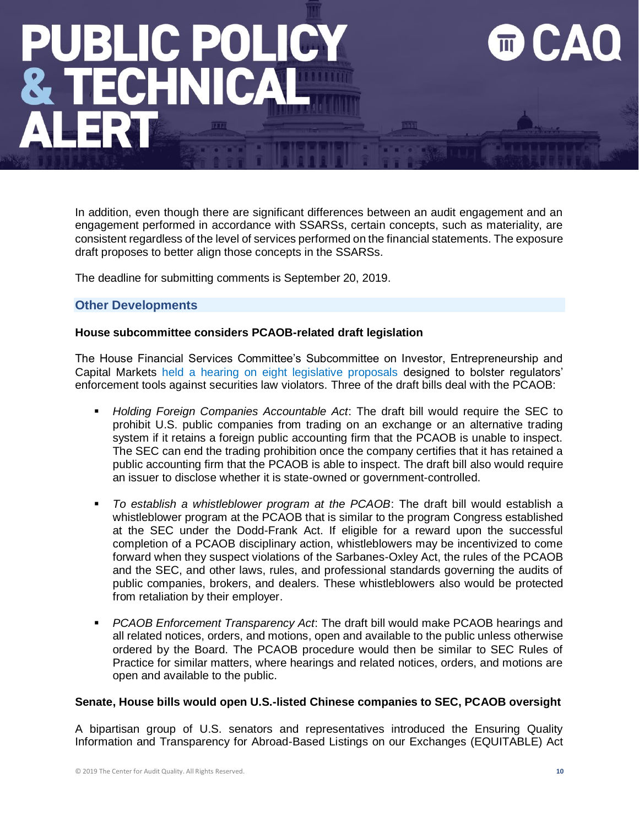In addition, even though there are significant differences between an audit engagement and an engagement performed in accordance with SSARSs, certain concepts, such as materiality, are consistent regardless of the level of services performed on the financial statements. The exposure draft proposes to better align those concepts in the SSARSs.

The deadline for submitting comments is September 20, 2019.

### **Other Developments**

### **House subcommittee considers PCAOB-related draft legislation**

The House Financial Services Committee's Subcommittee on Investor, Entrepreneurship and Capital Markets [held a hearing on eight legislative proposals](https://financialservices.house.gov/calendar/eventsingle.aspx?EventID=403833) designed to bolster regulators' enforcement tools against securities law violators. Three of the draft bills deal with the PCAOB:

- *Holding Foreign Companies Accountable Act*: The draft bill would require the SEC to prohibit U.S. public companies from trading on an exchange or an alternative trading system if it retains a foreign public accounting firm that the PCAOB is unable to inspect. The SEC can end the trading prohibition once the company certifies that it has retained a public accounting firm that the PCAOB is able to inspect. The draft bill also would require an issuer to disclose whether it is state-owned or government-controlled.
- To establish a whistleblower program at the PCAOB: The draft bill would establish a whistleblower program at the PCAOB that is similar to the program Congress established at the SEC under the Dodd-Frank Act. If eligible for a reward upon the successful completion of a PCAOB disciplinary action, whistleblowers may be incentivized to come forward when they suspect violations of the Sarbanes-Oxley Act, the rules of the PCAOB and the SEC, and other laws, rules, and professional standards governing the audits of public companies, brokers, and dealers. These whistleblowers also would be protected from retaliation by their employer.
- **PCAOB Enforcement Transparency Act: The draft bill would make PCAOB hearings and** all related notices, orders, and motions, open and available to the public unless otherwise ordered by the Board. The PCAOB procedure would then be similar to SEC Rules of Practice for similar matters, where hearings and related notices, orders, and motions are open and available to the public.

### **Senate, House bills would open U.S.-listed Chinese companies to SEC, PCAOB oversight**

A bipartisan group of U.S. senators and representatives introduced the Ensuring Quality Information and Transparency for Abroad-Based Listings on our Exchanges (EQUITABLE) Act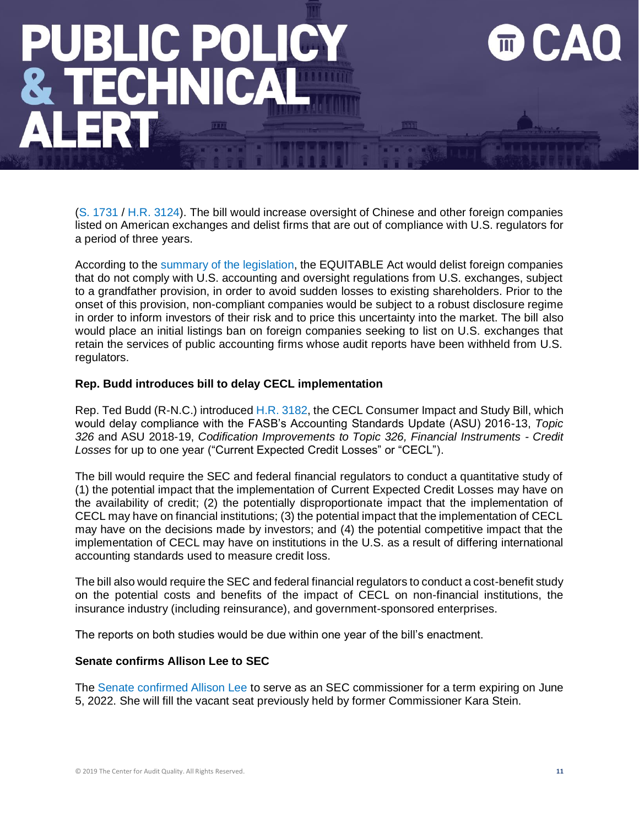[\(S. 1731](https://www.congress.gov/bill/116th-congress/senate-bill/1731/text) / [H.R. 3124\)](https://www.congress.gov/bill/116th-congress/house-bill/3124/text). The bill would increase oversight of Chinese and other foreign companies listed on American exchanges and delist firms that are out of compliance with U.S. regulators for a period of three years.

According to the [summary of the](https://www.rubio.senate.gov/public/_cache/files/d5ca8210-0eac-4279-9f26-0f6df4c26632/3CA60262DACB571EA9500FF9348851A3.rubio--equitable-act-one-pager-press.pdf) legislation, the EQUITABLE Act would delist foreign companies that do not comply with U.S. accounting and oversight regulations from U.S. exchanges, subject to a grandfather provision, in order to avoid sudden losses to existing shareholders. Prior to the onset of this provision, non-compliant companies would be subject to a robust disclosure regime in order to inform investors of their risk and to price this uncertainty into the market. The bill also would place an initial listings ban on foreign companies seeking to list on U.S. exchanges that retain the services of public accounting firms whose audit reports have been withheld from U.S. regulators.

### **Rep. Budd introduces bill to delay CECL implementation**

Rep. Ted Budd (R-N.C.) introduced [H.R. 3182,](https://www.congress.gov/bill/116th-congress/house-bill/3182/text) the CECL Consumer Impact and Study Bill, which would delay compliance with the FASB's Accounting Standards Update (ASU) 2016-13, *Topic 326* and ASU 2018-19, *Codification Improvements to Topic 326, Financial Instruments - Credit Losses* for up to one year ("Current Expected Credit Losses" or "CECL").

The bill would require the SEC and federal financial regulators to conduct a quantitative study of (1) the potential impact that the implementation of Current Expected Credit Losses may have on the availability of credit; (2) the potentially disproportionate impact that the implementation of CECL may have on financial institutions; (3) the potential impact that the implementation of CECL may have on the decisions made by investors; and (4) the potential competitive impact that the implementation of CECL may have on institutions in the U.S. as a result of differing international accounting standards used to measure credit loss.

The bill also would require the SEC and federal financial regulators to conduct a cost-benefit study on the potential costs and benefits of the impact of CECL on non-financial institutions, the insurance industry (including reinsurance), and government-sponsored enterprises.

The reports on both studies would be due within one year of the bill's enactment.

### **Senate confirms Allison Lee to SEC**

The [Senate confirmed Allison Lee](https://www.reuters.com/article/usa-senate-sec/u-s-senate-confirms-democrat-lee-to-securities-and-exchange-commission-idUSL2N23R1AI) to serve as an SEC commissioner for a term expiring on June 5, 2022. She will fill the vacant seat previously held by former Commissioner Kara Stein.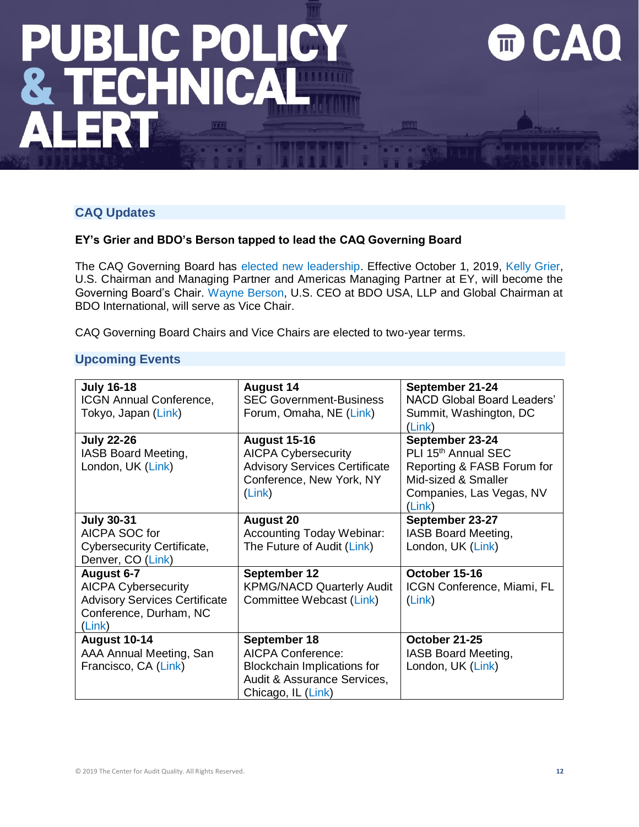### **CAQ Updates**

### **EY's Grier and BDO's Berson tapped to lead the CAQ Governing Board**

The CAQ Governing Board has [elected new leadership.](https://www.thecaq.org/news/eys-grier-and-bdos-berson-tapped-to-lead-the-caq-governing-board/) Effective October 1, 2019, [Kelly Grier,](https://www.ey.com/en_gl/people/kelly-grier) U.S. Chairman and Managing Partner and Americas Managing Partner at EY, will become the Governing Board's Chair. [Wayne Berson,](https://www.bdo.com/our-people/wayne-berson) U.S. CEO at BDO USA, LLP and Global Chairman at BDO International, will serve as Vice Chair.

CAQ Governing Board Chairs and Vice Chairs are elected to two-year terms.

### **Upcoming Events**

| <b>July 16-18</b>                    | <b>August 14</b>                     | September 21-24                   |
|--------------------------------------|--------------------------------------|-----------------------------------|
| <b>ICGN Annual Conference,</b>       | <b>SEC Government-Business</b>       | <b>NACD Global Board Leaders'</b> |
| Tokyo, Japan (Link)                  | Forum, Omaha, NE (Link)              | Summit, Washington, DC            |
|                                      |                                      | (Link)                            |
| <b>July 22-26</b>                    | <b>August 15-16</b>                  | September 23-24                   |
| IASB Board Meeting,                  | <b>AICPA Cybersecurity</b>           | PLI 15th Annual SEC               |
| London, UK (Link)                    | <b>Advisory Services Certificate</b> | Reporting & FASB Forum for        |
|                                      | Conference, New York, NY             | Mid-sized & Smaller               |
|                                      | (Link)                               | Companies, Las Vegas, NV          |
|                                      |                                      | (Link)                            |
| <b>July 30-31</b>                    | <b>August 20</b>                     | September 23-27                   |
| AICPA SOC for                        | <b>Accounting Today Webinar:</b>     | IASB Board Meeting,               |
| Cybersecurity Certificate,           | The Future of Audit (Link)           | London, UK (Link)                 |
| Denver, CO (Link)                    |                                      |                                   |
| August 6-7                           | September 12                         | October 15-16                     |
| <b>AICPA Cybersecurity</b>           | <b>KPMG/NACD Quarterly Audit</b>     | ICGN Conference, Miami, FL        |
| <b>Advisory Services Certificate</b> | Committee Webcast (Link)             | (Link)                            |
| Conference, Durham, NC               |                                      |                                   |
| (Link)                               |                                      |                                   |
| August 10-14                         | September 18                         | October 21-25                     |
| AAA Annual Meeting, San              | <b>AICPA Conference:</b>             | IASB Board Meeting,               |
| Francisco, CA (Link)                 | <b>Blockchain Implications for</b>   | London, UK (Link)                 |
|                                      | Audit & Assurance Services,          |                                   |
|                                      | Chicago, IL (Link)                   |                                   |

 $\overline{\mathbb{m}}$ 

111

CA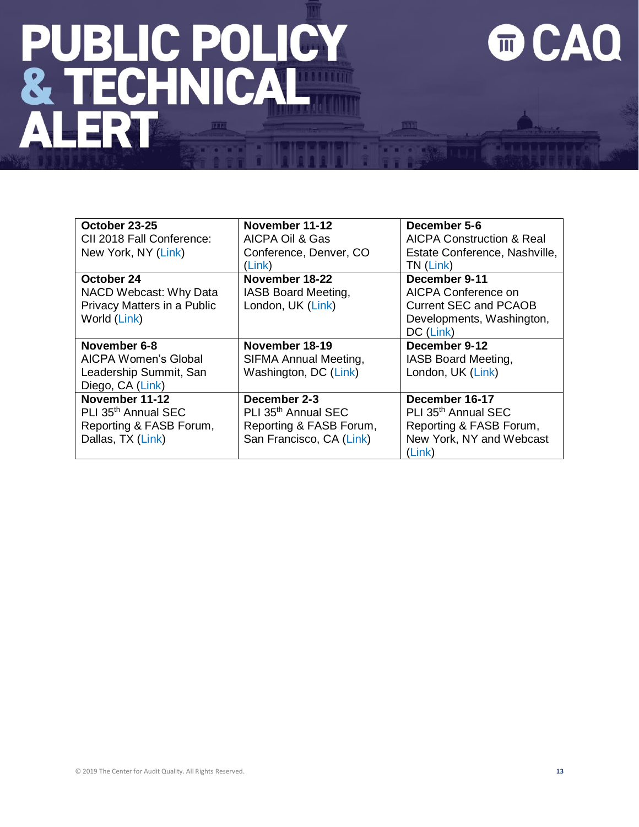# **PUBLIC POLICY<br>& TECHNICAL<br>ALERT**

### **OCAQ**

| October 23-25<br>CII 2018 Fall Conference:<br>New York, NY (Link)                                 | November 11-12<br>AICPA Oil & Gas<br>Conference, Denver, CO<br>(Link)                                  | December 5-6<br><b>AICPA Construction &amp; Real</b><br>Estate Conference, Nashville,<br>TN (Link)                 |
|---------------------------------------------------------------------------------------------------|--------------------------------------------------------------------------------------------------------|--------------------------------------------------------------------------------------------------------------------|
| October 24<br>NACD Webcast: Why Data<br>Privacy Matters in a Public<br>World (Link)               | November 18-22<br>IASB Board Meeting,<br>London, UK (Link)                                             | December 9-11<br>AICPA Conference on<br><b>Current SEC and PCAOB</b><br>Developments, Washington,<br>DC (Link)     |
| November 6-8<br>AICPA Women's Global<br>Leadership Summit, San<br>Diego, CA (Link)                | November 18-19<br>SIFMA Annual Meeting,<br>Washington, DC (Link)                                       | December 9-12<br>IASB Board Meeting,<br>London, UK (Link)                                                          |
| November 11-12<br>PLI 35 <sup>th</sup> Annual SEC<br>Reporting & FASB Forum,<br>Dallas, TX (Link) | December 2-3<br>PLI 35 <sup>th</sup> Annual SEC<br>Reporting & FASB Forum,<br>San Francisco, CA (Link) | December 16-17<br>PLI 35 <sup>th</sup> Annual SEC<br>Reporting & FASB Forum,<br>New York, NY and Webcast<br>(Link) |

 $\sqrt{211}$